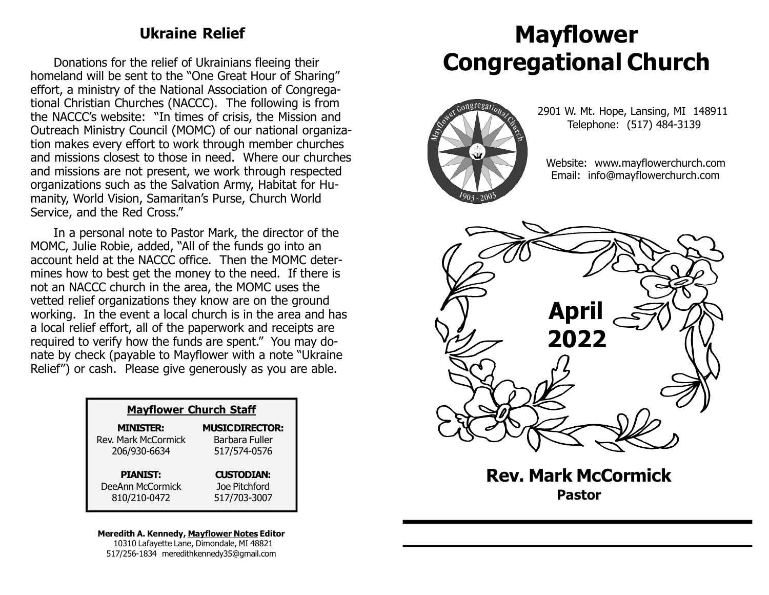#### Ukraine Relief

Donations for the relief of Ukrainians fleeing their homeland will be sent to the "One Great Hour of Sharing" effort, a ministry of the National Association of Congregational Christian Churches (NACCC). The following is from the NACCC's website: "In times of crisis, the Mission and Outreach Ministry Council (MOMC) of our national organization makes every effort to work through member churches and missions closest to those in need. Where our churches and missions are not present, we work through respected organizations such as the Salvation Army, Habitat for Humanity, World Vision, Samaritan's Purse, Church World Service, and the Red Cross."

In a personal note to Pastor Mark, the director of the MOMC, Julie Robie, added, "All of the funds go into an account held at the NACCC office. Then the MOMC determines how to best get the money to the need. If there is not an NACCC church in the area, the MOMC uses the vetted relief organizations they know are on the ground working. In the event a local church is in the area and has a local relief effort, all of the paperwork and receipts are required to verify how the funds are spent." You may donate by check (payable to Mayflower with a note "Ukraine Relief") or cash. Please give generously as you are able.

| <b>Mayflower Church Staff</b> |                        |  |
|-------------------------------|------------------------|--|
| <b>MINISTER:</b>              | <b>MUSIC DIRECTOR:</b> |  |
| Rev. Mark McCormick           | Barbara Fuller         |  |
| 206/930-6634                  | 517/574-0576           |  |
| <b>PIANIST:</b>               | <b>CUSTODIAN:</b>      |  |
| DeeAnn McCormick              | Joe Pitchford          |  |
| 810/210-0472                  | 517/703-3007           |  |

#### Meredith A. Kennedy, Mayflower Notes Editor 10310 Lafayette Lane, Dimondale, MI 48821 517/256-1834 meredithkennedy35@gmail.com

# Mayflower Congregational Church



 2901 W. Mt. Hope, Lansing, MI 148911 Telephone: (517) 484-3139

 Website: www.mayflowerchurch.com Email: info@mayflowerchurch.com



Rev. Mark McCormick Pastor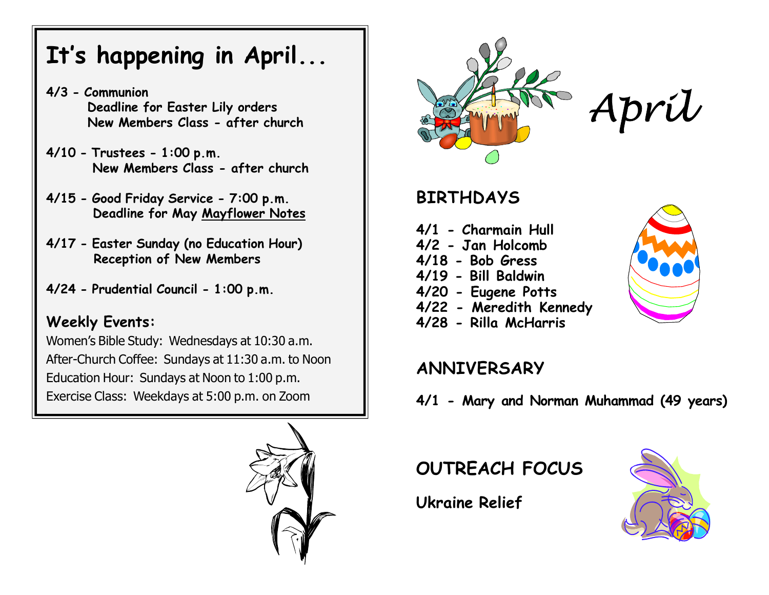# It's happening in April...

- 4/3 Communion Deadline for Easter Lily orders New Members Class - after church
- 4/10 Trustees 1:00 p.m. New Members Class - after church
- 4/15 Good Friday Service 7:00 p.m. Deadline for May Mayflower Notes
- 4/17 Easter Sunday (no Education Hour) Reception of New Members
- 4/24 Prudential Council 1:00 p.m.

### Weekly Events:

Women's Bible Study: Wednesdays at 10:30 a.m. After-Church Coffee: Sundays at 11:30 a.m. to Noon Education Hour: Sundays at Noon to 1:00 p.m. Exercise Class: Weekdays at 5:00 p.m. on Zoom





# April

# BIRTHDAYS

- 4/1 Charmain Hull
- 4/2 Jan Holcomb
- 4/18 Bob Gress
- 4/19 Bill Baldwin
- 4/20 Eugene Potts
- 4/22 Meredith Kennedy
- 4/28 Rilla McHarris

## ANNIVERSARY

4/1 - Mary and Norman Muhammad (49 years)

OUTREACH FOCUS

Ukraine Relief



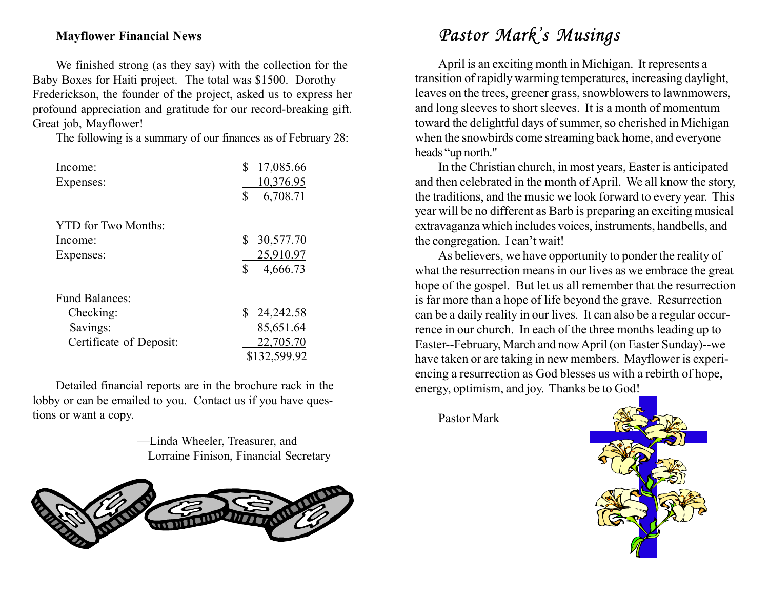#### Mayflower Financial News

We finished strong (as they say) with the collection for the Baby Boxes for Haiti project. The total was \$1500. Dorothy Frederickson, the founder of the project, asked us to express her profound appreciation and gratitude for our record-breaking gift. Great job, Mayflower!

The following is a summary of our finances as of February 28:

| Income:                    | \$<br>17,085.66 |
|----------------------------|-----------------|
| Expenses:                  | 10,376.95       |
|                            | \$<br>6,708.71  |
| <b>YTD</b> for Two Months: |                 |
| Income:                    | 30,577.70<br>\$ |
| Expenses:                  | 25,910.97       |
|                            | \$<br>4,666.73  |
| <b>Fund Balances:</b>      |                 |
| Checking:                  | \$24,242.58     |
| Savings:                   | 85,651.64       |
| Certificate of Deposit:    | 22,705.70       |
|                            | \$132,599.92    |

Detailed financial reports are in the brochure rack in the lobby or can be emailed to you. Contact us if you have questions or want a copy.

> —Linda Wheeler, Treasurer, and Lorraine Finison, Financial Secretary



# Pastor Mark's Musings

April is an exciting month in Michigan. It represents a transition of rapidly warming temperatures, increasing daylight, leaves on the trees, greener grass, snowblowers to lawnmowers, and long sleeves to short sleeves. It is a month of momentum toward the delightful days of summer, so cherished in Michigan when the snowbirds come streaming back home, and everyone heads "up north."

In the Christian church, in most years, Easter is anticipated and then celebrated in the month of April. We all know the story, the traditions, and the music we look forward to every year. This year will be no different as Barb is preparing an exciting musical extravaganza which includes voices, instruments, handbells, and the congregation. I can't wait!

As believers, we have opportunity to ponder the reality of what the resurrection means in our lives as we embrace the great hope of the gospel. But let us all remember that the resurrection is far more than a hope of life beyond the grave. Resurrection can be a daily reality in our lives. It can also be a regular occurrence in our church. In each of the three months leading up to Easter--February, March and now April (on Easter Sunday)--we have taken or are taking in new members. Mayflower is experiencing a resurrection as God blesses us with a rebirth of hope, energy, optimism, and joy. Thanks be to God!

Pastor Mark